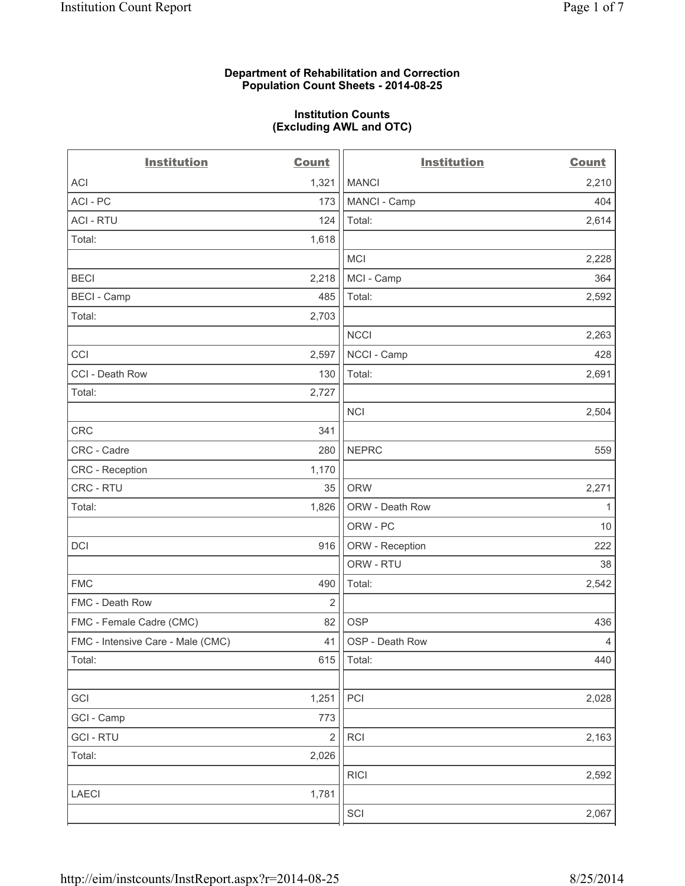## **Department of Rehabilitation and Correction Population Count Sheets - 2014-08-25**

#### **Institution Counts (Excluding AWL and OTC)**

| <b>Institution</b>                | <b>Count</b>   | <b>Institution</b> | <b>Count</b>   |
|-----------------------------------|----------------|--------------------|----------------|
| ACI                               | 1,321          | <b>MANCI</b>       | 2,210          |
| ACI - PC                          | 173            | MANCI - Camp       | 404            |
| <b>ACI - RTU</b>                  | 124            | Total:             | 2,614          |
| Total:                            | 1,618          |                    |                |
|                                   |                | <b>MCI</b>         | 2,228          |
| <b>BECI</b>                       | 2,218          | MCI - Camp         | 364            |
| <b>BECI - Camp</b>                | 485            | Total:             | 2,592          |
| Total:                            | 2,703          |                    |                |
|                                   |                | <b>NCCI</b>        | 2,263          |
| CCI                               | 2,597          | NCCI - Camp        | 428            |
| CCI - Death Row                   | 130            | Total:             | 2,691          |
| Total:                            | 2,727          |                    |                |
|                                   |                | <b>NCI</b>         | 2,504          |
| CRC                               | 341            |                    |                |
| CRC - Cadre                       | 280            | <b>NEPRC</b>       | 559            |
| CRC - Reception                   | 1,170          |                    |                |
| CRC - RTU                         | 35             | <b>ORW</b>         | 2,271          |
| Total:                            | 1,826          | ORW - Death Row    | 1              |
|                                   |                | ORW - PC           | $10$           |
| <b>DCI</b>                        | 916            | ORW - Reception    | 222            |
|                                   |                | ORW - RTU          | 38             |
| <b>FMC</b>                        | 490            | Total:             | 2,542          |
| FMC - Death Row                   | $\overline{2}$ |                    |                |
| FMC - Female Cadre (CMC)          | 82             | <b>OSP</b>         | 436            |
| FMC - Intensive Care - Male (CMC) | 41             | OSP - Death Row    | $\overline{4}$ |
| Total:                            | 615            | Total:             | 440            |
|                                   |                |                    |                |
| GCI                               | 1,251          | PCI                | 2,028          |
| GCI - Camp                        | 773            |                    |                |
| <b>GCI-RTU</b>                    | $\overline{2}$ | RCI                | 2,163          |
| Total:                            | 2,026          |                    |                |
|                                   |                | <b>RICI</b>        | 2,592          |
| LAECI                             | 1,781          |                    |                |
|                                   |                | SCI                | 2,067          |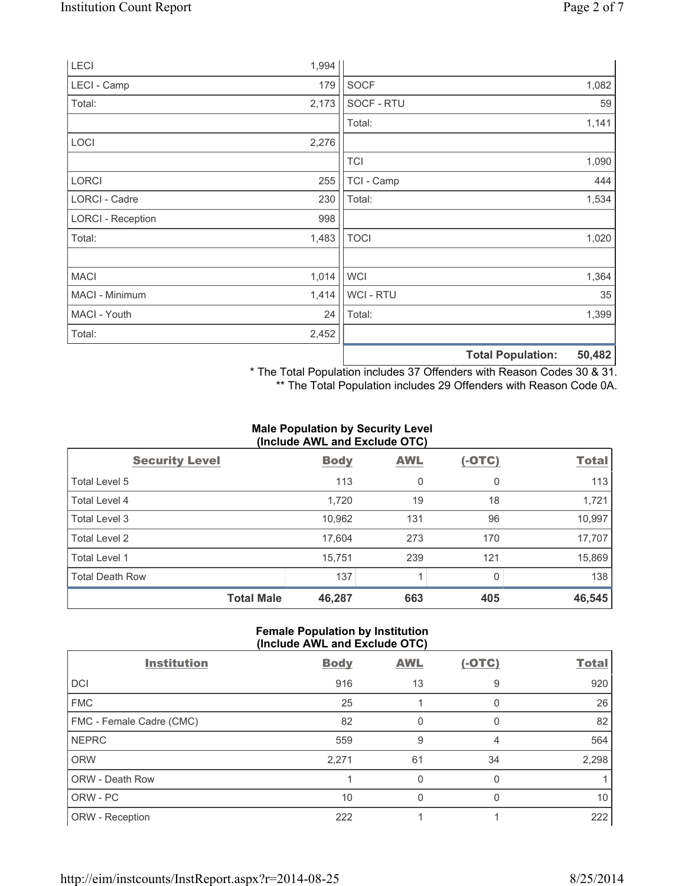|                          |       |             | <b>Total Population:</b> | 50,482 |
|--------------------------|-------|-------------|--------------------------|--------|
| Total:                   | 2,452 |             |                          |        |
| MACI - Youth             | 24    | Total:      |                          | 1,399  |
| MACI - Minimum           | 1,414 | WCI - RTU   |                          | 35     |
| <b>MACI</b>              | 1,014 | <b>WCI</b>  |                          | 1,364  |
| Total:                   | 1,483 | <b>TOCI</b> |                          | 1,020  |
| <b>LORCI - Reception</b> | 998   |             |                          |        |
| LORCI - Cadre            | 230   | Total:      |                          | 1,534  |
| <b>LORCI</b>             | 255   | TCI - Camp  |                          | 444    |
|                          |       | <b>TCI</b>  |                          | 1,090  |
| LOCI                     | 2,276 |             |                          |        |
|                          |       | Total:      |                          | 1,141  |
| Total:                   | 2,173 | SOCF - RTU  |                          | 59     |
| LECI - Camp              | 179   | <b>SOCF</b> |                          | 1,082  |
| LECI                     | 1,994 |             |                          |        |

\* The Total Population includes 37 Offenders with Reason Codes 30 & 31.

\*\* The Total Population includes 29 Offenders with Reason Code 0A.

## **Male Population by Security Level (Include AWL and Exclude OTC)**

| <b>Security Level</b>  | <b>Body</b> | <b>AWL</b> | $(-OTC)$ | <b>Total</b> |
|------------------------|-------------|------------|----------|--------------|
| Total Level 5          | 113         | 0          | 0        | 113          |
| Total Level 4          | 1,720       | 19         | 18       | 1,721        |
| Total Level 3          | 10,962      | 131        | 96       | 10,997       |
| Total Level 2          | 17,604      | 273        | 170      | 17,707       |
| <b>Total Level 1</b>   | 15,751      | 239        | 121      | 15,869       |
| <b>Total Death Row</b> | 137         | 1          | 0        | 138          |
| <b>Total Male</b>      | 46,287      | 663        | 405      | 46,545       |

# **Female Population by Institution (Include AWL and Exclude OTC)**

| <b>Institution</b>       | <b>Body</b> | <b>AWL</b> | <u>(-OTC)</u> | <b>Total</b> |
|--------------------------|-------------|------------|---------------|--------------|
| <b>DCI</b>               | 916         | 13         | 9             | 920          |
| <b>FMC</b>               | 25          |            | 0             | 26           |
| FMC - Female Cadre (CMC) | 82          | 0          | 0             | 82           |
| <b>NEPRC</b>             | 559         | 9          | 4             | 564          |
| <b>ORW</b>               | 2,271       | 61         | 34            | 2,298        |
| ORW - Death Row          |             | 0          |               |              |
| ORW - PC                 | 10          | $\Omega$   | 0             | 10           |
| ORW - Reception          | 222         |            |               | 222          |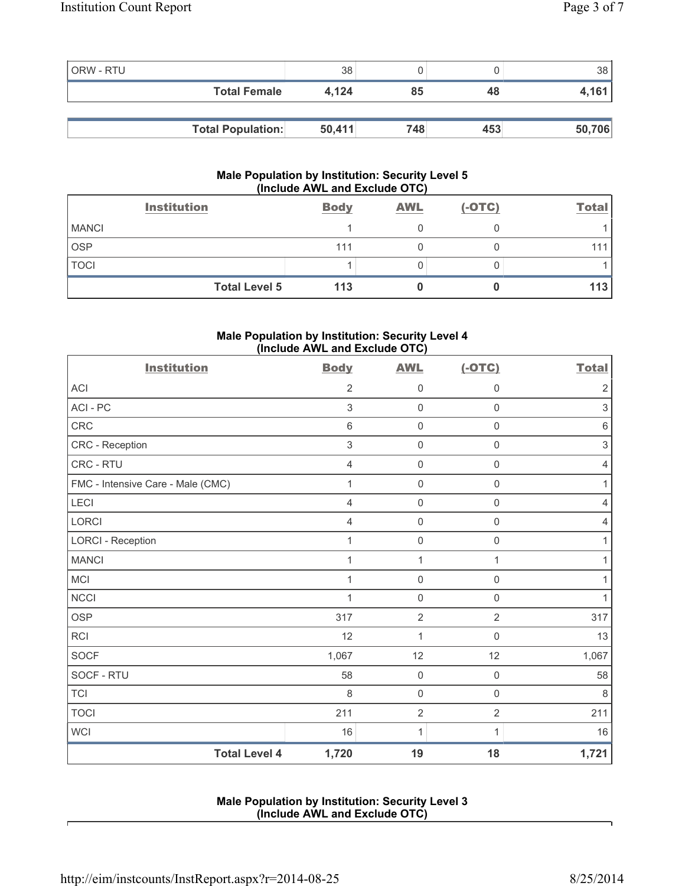| <b>ORW - RTU</b> |                          | 38     |     |     | 38     |
|------------------|--------------------------|--------|-----|-----|--------|
|                  | <b>Total Female</b>      | 4.124  | 85  | 48  | 4,161  |
|                  |                          |        |     |     |        |
|                  | <b>Total Population:</b> | 50,411 | 748 | 453 | 50,706 |

### **Male Population by Institution: Security Level 5 (Include AWL and Exclude OTC)**

|              | <b>Institution</b>   | <b>Body</b> | <b>AWL</b> | $(-OTC)$ | <b>Total</b> |
|--------------|----------------------|-------------|------------|----------|--------------|
| <b>MANCI</b> |                      |             |            |          |              |
| <b>OSP</b>   |                      | 111         |            |          |              |
| <b>TOCI</b>  |                      |             |            |          |              |
|              | <b>Total Level 5</b> | 113         |            |          | 113          |

# **Male Population by Institution: Security Level 4 (Include AWL and Exclude OTC)**

| <b>Institution</b>                | <b>Body</b>    | <b>AWL</b>          | $(-OTC)$            | <b>Total</b>   |
|-----------------------------------|----------------|---------------------|---------------------|----------------|
| <b>ACI</b>                        | $\overline{2}$ | 0                   | 0                   | $\sqrt{2}$     |
| ACI-PC                            | 3              | $\mathbf 0$         | $\mathsf 0$         | 3              |
| CRC                               | $\,6\,$        | $\mathsf{O}\xspace$ | $\mathbf 0$         | $\,6\,$        |
| CRC - Reception                   | $\mathfrak{S}$ | $\mathbf 0$         | $\mathsf 0$         | $\sqrt{3}$     |
| CRC - RTU                         | $\overline{4}$ | $\mathbf 0$         | 0                   | $\overline{4}$ |
| FMC - Intensive Care - Male (CMC) | 1              | $\mathbf 0$         | $\mathsf 0$         | 1              |
| LECI                              | $\overline{4}$ | $\mathsf{O}\xspace$ | $\mathsf 0$         | 4              |
| LORCI                             | $\overline{4}$ | $\mathbf 0$         | $\mathsf 0$         | 4              |
| <b>LORCI - Reception</b>          | 1              | $\mathsf{O}\xspace$ | $\mathsf{O}\xspace$ | $\mathbf{1}$   |
| <b>MANCI</b>                      | 1              | $\mathbf{1}$        | 1                   | 1              |
| <b>MCI</b>                        | 1              | $\mathsf{O}\xspace$ | $\mathsf{O}\xspace$ | 1              |
| <b>NCCI</b>                       | 1              | $\mathsf{O}\xspace$ | $\mathsf 0$         | 1              |
| <b>OSP</b>                        | 317            | $\overline{2}$      | $\overline{2}$      | 317            |
| <b>RCI</b>                        | 12             | $\mathbf{1}$        | $\mathsf 0$         | 13             |
| <b>SOCF</b>                       | 1,067          | 12                  | 12                  | 1,067          |
| SOCF - RTU                        | 58             | $\mathsf{O}\xspace$ | $\mathsf 0$         | 58             |
| <b>TCI</b>                        | 8              | $\mathsf{O}\xspace$ | $\mathsf{O}\xspace$ | $\,8\,$        |
| <b>TOCI</b>                       | 211            | $\overline{2}$      | $\overline{2}$      | 211            |
| <b>WCI</b>                        | 16             | 1                   | 1                   | 16             |
| <b>Total Level 4</b>              | 1,720          | 19                  | 18                  | 1,721          |

## **Male Population by Institution: Security Level 3 (Include AWL and Exclude OTC)**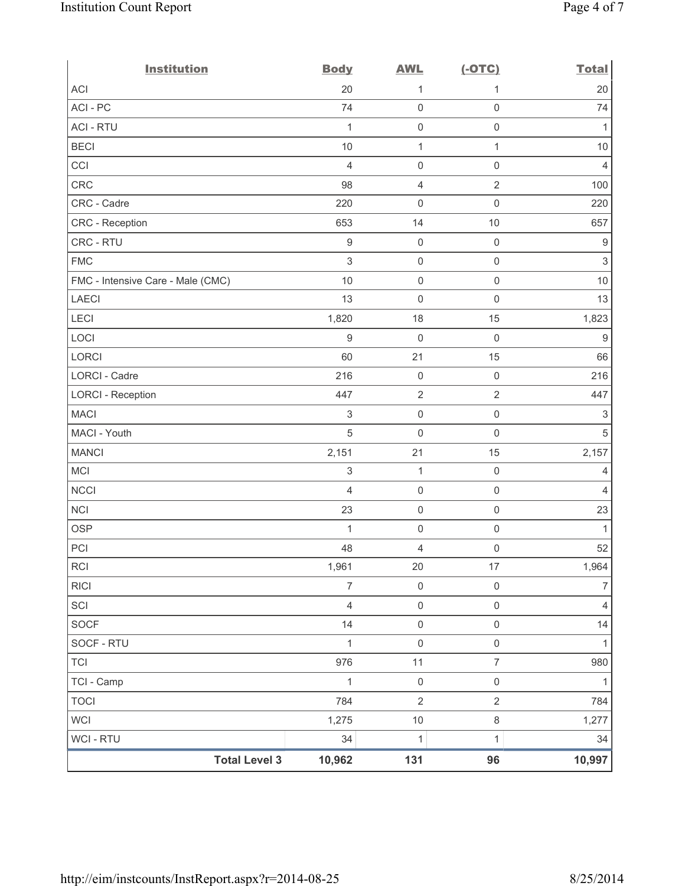| <b>Institution</b>                | <b>Body</b>      | <b>AWL</b>          | $(-OTC)$            | <b>Total</b>              |
|-----------------------------------|------------------|---------------------|---------------------|---------------------------|
| <b>ACI</b>                        | 20               | 1                   | 1                   | 20                        |
| ACI-PC                            | 74               | $\mathsf 0$         | $\mathsf 0$         | 74                        |
| <b>ACI - RTU</b>                  | $\mathbf{1}$     | $\mathsf{O}\xspace$ | $\mathsf 0$         | 1                         |
| <b>BECI</b>                       | 10               | $\mathbf{1}$        | 1                   | $10$                      |
| CCI                               | $\overline{4}$   | $\mathsf{O}\xspace$ | $\mathsf 0$         | $\overline{4}$            |
| CRC                               | 98               | $\overline{4}$      | $\overline{2}$      | 100                       |
| CRC - Cadre                       | 220              | $\mathbf 0$         | $\mathsf{O}\xspace$ | 220                       |
| CRC - Reception                   | 653              | 14                  | 10                  | 657                       |
| CRC - RTU                         | $\boldsymbol{9}$ | $\mathsf{O}\xspace$ | $\mathsf 0$         | 9                         |
| <b>FMC</b>                        | $\mathfrak{S}$   | $\mathsf{O}\xspace$ | $\mathsf 0$         | $\ensuremath{\mathsf{3}}$ |
| FMC - Intensive Care - Male (CMC) | 10               | $\mathbf 0$         | $\mathsf{O}\xspace$ | $10$                      |
| <b>LAECI</b>                      | 13               | $\mathsf{O}\xspace$ | $\mathsf 0$         | 13                        |
| LECI                              | 1,820            | 18                  | 15                  | 1,823                     |
| LOCI                              | $\boldsymbol{9}$ | $\mathsf{O}\xspace$ | $\mathsf{O}\xspace$ | $9\,$                     |
| <b>LORCI</b>                      | 60               | 21                  | 15                  | 66                        |
| LORCI - Cadre                     | 216              | $\mathsf{O}\xspace$ | $\mathsf{O}\xspace$ | 216                       |
| <b>LORCI - Reception</b>          | 447              | $\sqrt{2}$          | $\overline{2}$      | 447                       |
| <b>MACI</b>                       | $\,$ 3 $\,$      | $\mathsf{O}\xspace$ | $\mathsf 0$         | $\ensuremath{\mathsf{3}}$ |
| MACI - Youth                      | 5                | $\mathbf 0$         | $\mathsf 0$         | $\sqrt{5}$                |
| <b>MANCI</b>                      | 2,151            | 21                  | 15                  | 2,157                     |
| MCI                               | 3                | $\mathbf{1}$        | $\mathsf 0$         | 4                         |
| <b>NCCI</b>                       | $\overline{4}$   | $\mathsf{O}\xspace$ | $\mathsf 0$         | $\overline{4}$            |
| <b>NCI</b>                        | 23               | $\mathsf{O}\xspace$ | $\mathsf{O}\xspace$ | 23                        |
| <b>OSP</b>                        | $\mathbf{1}$     | $\mathsf{O}\xspace$ | $\mathsf 0$         | $\mathbf{1}$              |
| PCI                               | 48               | 4                   | $\mathsf{O}\xspace$ | 52                        |
| <b>RCI</b>                        | 1,961            | $20\,$              | 17                  | 1,964                     |
| <b>RICI</b>                       | $\overline{7}$   | $\mathsf 0$         | $\mathsf 0$         | $\overline{7}$            |
| SCI                               | $\overline{4}$   | $\mathsf{O}\xspace$ | $\mathsf{O}\xspace$ | $\overline{4}$            |
| <b>SOCF</b>                       | 14               | $\mathsf 0$         | $\mathsf 0$         | 14                        |
| SOCF - RTU                        | $\mathbf{1}$     | $\mathsf{O}\xspace$ | $\mathsf{O}\xspace$ | 1                         |
| <b>TCI</b>                        | 976              | 11                  | $\overline{7}$      | 980                       |
| TCI - Camp                        | $\mathbf{1}$     | $\mathsf 0$         | $\mathsf{O}\xspace$ | $\mathbf{1}$              |
| <b>TOCI</b>                       | 784              | $\overline{2}$      | $\overline{2}$      | 784                       |
| <b>WCI</b>                        | 1,275            | $10$                | $\,8\,$             | 1,277                     |
| WCI - RTU                         | 34               | $\mathbf{1}$        | 1                   | 34                        |
| <b>Total Level 3</b>              | 10,962           | 131                 | 96                  | 10,997                    |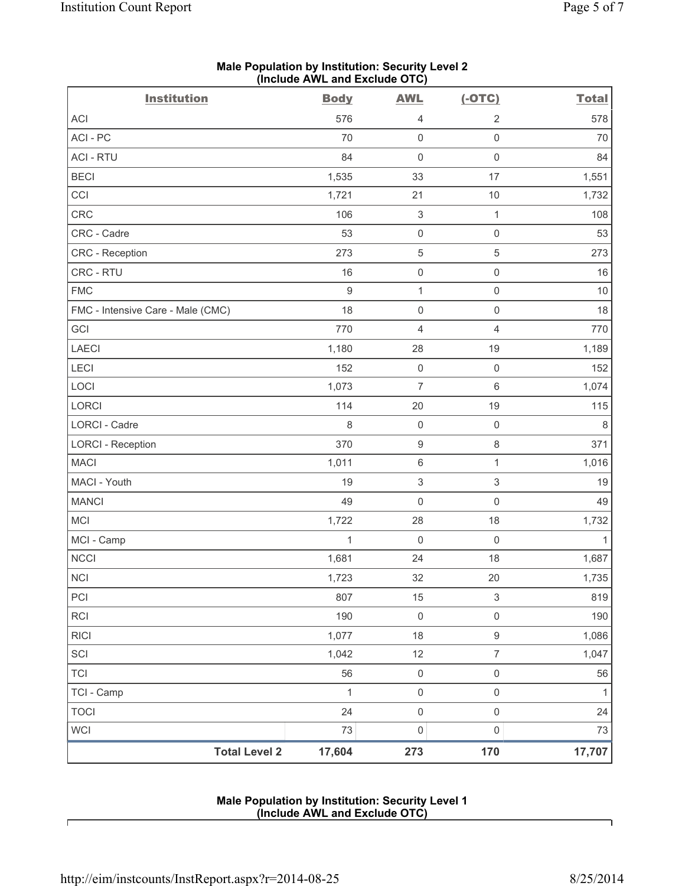| <b>Institution</b>                | (include AWL and Exclude OTC)<br><b>Body</b> | <b>AWL</b>                | $(-OTC)$                  | <b>Total</b> |
|-----------------------------------|----------------------------------------------|---------------------------|---------------------------|--------------|
| ACI                               | 576                                          | 4                         | $\sqrt{2}$                | 578          |
| ACI-PC                            | 70                                           | $\mathsf 0$               | $\mathsf 0$               | 70           |
| <b>ACI - RTU</b>                  | 84                                           | $\mathsf{O}\xspace$       | $\mathsf{O}\xspace$       | 84           |
| <b>BECI</b>                       | 1,535                                        | 33                        | 17                        | 1,551        |
| CCI                               | 1,721                                        | 21                        | 10                        | 1,732        |
| CRC                               | 106                                          | $\ensuremath{\mathsf{3}}$ | $\mathbf{1}$              | 108          |
| CRC - Cadre                       | 53                                           | $\mathsf{O}\xspace$       | $\mathsf{O}\xspace$       | 53           |
| CRC - Reception                   | 273                                          | $\,$ 5 $\,$               | $\,$ 5 $\,$               | 273          |
| CRC - RTU                         | 16                                           | $\mathsf 0$               | $\mathsf{O}\xspace$       | 16           |
| <b>FMC</b>                        | $9\,$                                        | $\mathbf{1}$              | $\mathsf{O}\xspace$       | 10           |
| FMC - Intensive Care - Male (CMC) | 18                                           | $\mathsf 0$               | $\mathsf{O}\xspace$       | 18           |
| GCI                               | 770                                          | $\overline{4}$            | $\overline{4}$            | 770          |
| <b>LAECI</b>                      | 1,180                                        | 28                        | 19                        | 1,189        |
| LECI                              | 152                                          | $\mathsf{O}\xspace$       | $\mathsf{O}\xspace$       | 152          |
| LOCI                              | 1,073                                        | $\overline{7}$            | $\,6\,$                   | 1,074        |
| <b>LORCI</b>                      | 114                                          | 20                        | 19                        | 115          |
| LORCI - Cadre                     | 8                                            | $\mathsf{O}\xspace$       | $\mathsf{O}\xspace$       | $\,8\,$      |
| <b>LORCI - Reception</b>          | 370                                          | $\boldsymbol{9}$          | $\,8\,$                   | 371          |
| <b>MACI</b>                       | 1,011                                        | $\,6\,$                   | $\mathbf{1}$              | 1,016        |
| MACI - Youth                      | 19                                           | $\sqrt{3}$                | $\sqrt{3}$                | 19           |
| <b>MANCI</b>                      | 49                                           | $\mathsf{O}\xspace$       | $\mathsf{O}\xspace$       | 49           |
| <b>MCI</b>                        | 1,722                                        | 28                        | 18                        | 1,732        |
| MCI - Camp                        | 1                                            | $\mathbf 0$               | $\mathsf{O}\xspace$       | 1            |
| NCCI                              | 1,681                                        | 24                        | 18                        | 1,687        |
| $\sf NCI$                         | 1,723                                        | 32                        | 20                        | 1,735        |
| PCI                               | 807                                          | 15                        | $\ensuremath{\mathsf{3}}$ | 819          |
| <b>RCI</b>                        | 190                                          | $\mathsf 0$               | $\mathsf{O}\xspace$       | 190          |
| <b>RICI</b>                       | 1,077                                        | 18                        | $\mathsf g$               | 1,086        |
| SCI                               | 1,042                                        | 12                        | $\overline{7}$            | 1,047        |
| <b>TCI</b>                        | 56                                           | $\mathsf{O}\xspace$       | $\mathsf{O}\xspace$       | 56           |
| TCI - Camp                        | 1                                            | $\mathsf 0$               | $\mathsf{O}\xspace$       | $\mathbf{1}$ |
| <b>TOCI</b>                       | 24                                           | $\mathsf{O}\xspace$       | $\mathsf{O}\xspace$       | 24           |
| <b>WCI</b>                        | 73                                           | $\mathsf{O}\xspace$       | $\mathsf{O}\xspace$       | 73           |
| <b>Total Level 2</b>              | 17,604                                       | 273                       | 170                       | 17,707       |

#### **Male Population by Institution: Security Level 2 (Include AWL and Exclude OTC)**

## **Male Population by Institution: Security Level 1 (Include AWL and Exclude OTC)**

Г

٦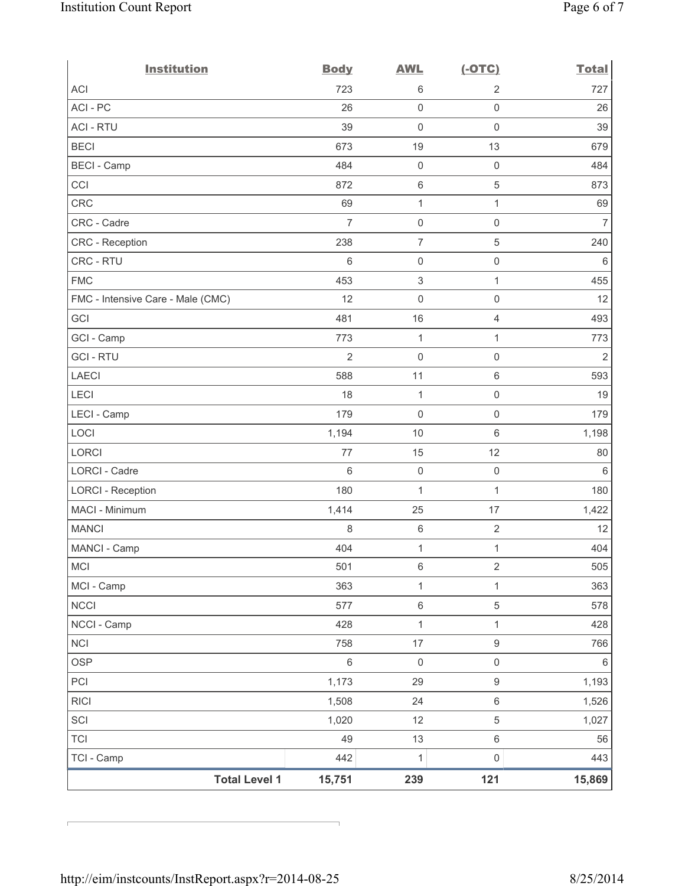| <b>Institution</b>                | <b>Body</b>    | <b>AWL</b>          | $(-OTC)$            | <b>Total</b>   |
|-----------------------------------|----------------|---------------------|---------------------|----------------|
| <b>ACI</b>                        | 723            | 6                   | $\overline{2}$      | 727            |
| ACI - PC                          | 26             | $\mathsf 0$         | $\mathsf 0$         | 26             |
| <b>ACI - RTU</b>                  | 39             | $\mathbf 0$         | $\mathsf 0$         | 39             |
| <b>BECI</b>                       | 673            | 19                  | 13                  | 679            |
| <b>BECI</b> - Camp                | 484            | $\mathsf{O}\xspace$ | $\mathsf 0$         | 484            |
| CCI                               | 872            | $\,6\,$             | 5                   | 873            |
| <b>CRC</b>                        | 69             | $\mathbf{1}$        | $\mathbf{1}$        | 69             |
| CRC - Cadre                       | $\overline{7}$ | $\mathsf{O}\xspace$ | $\mathsf{O}\xspace$ | $\overline{7}$ |
| CRC - Reception                   | 238            | $\overline{7}$      | 5                   | 240            |
| CRC - RTU                         | $\,6\,$        | $\mathsf{O}\xspace$ | $\mathsf 0$         | 6              |
| <b>FMC</b>                        | 453            | $\,$ 3 $\,$         | 1                   | 455            |
| FMC - Intensive Care - Male (CMC) | 12             | $\mathbf 0$         | $\mathsf{O}\xspace$ | 12             |
| GCI                               | 481            | 16                  | $\overline{4}$      | 493            |
| GCI - Camp                        | 773            | $\mathbf{1}$        | 1                   | 773            |
| <b>GCI-RTU</b>                    | $\overline{2}$ | $\mathbf 0$         | $\mathsf{O}\xspace$ | 2              |
| <b>LAECI</b>                      | 588            | 11                  | $\,6\,$             | 593            |
| LECI                              | 18             | $\mathbf{1}$        | $\mathsf 0$         | 19             |
| LECI - Camp                       | 179            | $\mathbf 0$         | $\mathsf{O}\xspace$ | 179            |
| LOCI                              | 1,194          | 10                  | $6\,$               | 1,198          |
| <b>LORCI</b>                      | 77             | 15                  | 12                  | 80             |
| LORCI - Cadre                     | $6\phantom{1}$ | $\mathsf{O}\xspace$ | $\mathsf 0$         | 6              |
| <b>LORCI - Reception</b>          | 180            | $\mathbf{1}$        | 1                   | 180            |
| MACI - Minimum                    | 1,414          | 25                  | 17                  | 1,422          |
| <b>MANCI</b>                      | 8              | $\,6\,$             | $\sqrt{2}$          | 12             |
| MANCI - Camp                      | 404            | $\mathbf{1}$        | $\mathbf{1}$        | 404            |
| MCI                               | 501            | $\,6\,$             | $\overline{2}$      | 505            |
| MCI - Camp                        | 363            | $\mathbf{1}$        | 1                   | 363            |
| <b>NCCI</b>                       | 577            | $\,6\,$             | 5                   | 578            |
| NCCI - Camp                       | 428            | $\mathbf{1}$        | 1                   | 428            |
| <b>NCI</b>                        | 758            | 17                  | $\boldsymbol{9}$    | 766            |
| <b>OSP</b>                        | $\,6\,$        | $\mathsf{O}\xspace$ | $\mathsf{O}\xspace$ | 6              |
| PCI                               | 1,173          | 29                  | $\boldsymbol{9}$    | 1,193          |
| <b>RICI</b>                       | 1,508          | 24                  | $\,6\,$             | 1,526          |
| SCI                               | 1,020          | 12                  | 5                   | 1,027          |
| <b>TCI</b>                        | 49             | 13                  | $\,6\,$             | 56             |
| TCI - Camp                        | 442            | $\mathbf 1$         | $\mathsf 0$         | 443            |
| <b>Total Level 1</b>              | 15,751         | 239                 | 121                 | 15,869         |

r